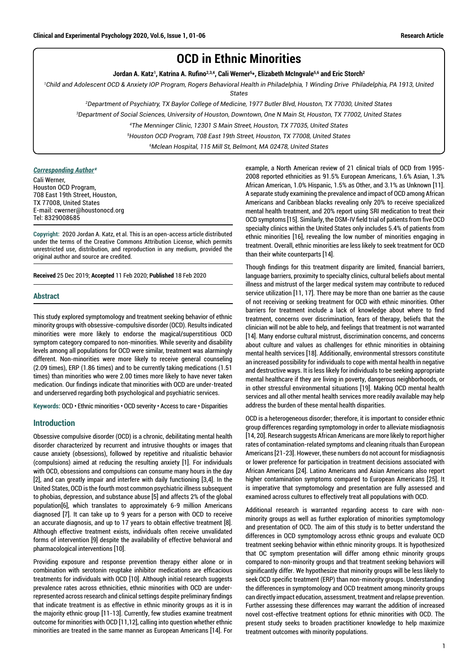# **OCD in Ethnic Minorities**

**Jordan A. Katz1 , Katrina A. Rufino2,3,4, Cali Werner5 \*, Elizabeth McIngvale5,6 and Eric Storch2**

<sup>1</sup>Child and Adolescent OCD & Anxiety IOP Program, Rogers Behavioral Health in Philadelphia, 1 Winding Drive Philadelphia, PA 1913, United *States*

*2 Department of Psychiatry, TX Baylor College of Medicine, 1977 Butler Blvd, Houston, TX 77030, United States*

*3 Department of Social Sciences, University of Houston, Downtown, One N Main St, Houston, TX 77002, United States*

*4 The Menninger Clinic, 12301 S Main Street, Houston, TX 77035, United States*

*5 Houston OCD Program, 708 East 19th Street, Houston, TX 77008, United States*

*6 Mclean Hospital, 115 Mill St, Belmont, MA 02478, United States*

#### *Corresponding Author\**

Cali Werner, Houston OCD Program, 708 East 19th Street, Houston, TX 77008, United States E-mail: cwerner@houstonocd.org Tel: 8329008685

**Copyright:** 2020 Jordan A. Katz, et al. This is an open-access article distributed under the terms of the Creative Commons Attribution License, which permits unrestricted use, distribution, and reproduction in any medium, provided the original author and source are credited.

**Received** 25 Dec 2019; **Accepted** 11 Feb 2020; **Published** 18 Feb 2020

## **Abstract**

This study explored symptomology and treatment seeking behavior of ethnic minority groups with obsessive-compulsive disorder (OCD). Results indicated minorities were more likely to endorse the magical/superstitious OCD symptom category compared to non-minorities. While severity and disability levels among all populations for OCD were similar, treatment was alarmingly different. Non-minorities were more likely to receive general counseling (2.09 times), ERP (1.86 times) and to be currently taking medications (1.51 times) than minorities who were 2.00 times more likely to have never taken medication. Our findings indicate that minorities with OCD are under-treated and underserved regarding both psychological and psychiatric services.

**Keywords:** OCD • Ethnic minorities • OCD severity • Access to care • Disparities

## **Introduction**

Obsessive compulsive disorder (OCD) is a chronic, debilitating mental health disorder characterized by recurrent and intrusive thoughts or images that cause anxiety (obsessions), followed by repetitive and ritualistic behavior (compulsions) aimed at reducing the resulting anxiety [1]. For individuals with OCD, obsessions and compulsions can consume many hours in the day [2], and can greatly impair and interfere with daily functioning [3,4]. In the United States, OCD is the fourth most common psychiatric illness subsequent to phobias, depression, and substance abuse [5] and affects 2% of the global population[6], which translates to approximately 6-9 million Americans diagnosed [7]. It can take up to 9 years for a person with OCD to receive an accurate diagnosis, and up to 17 years to obtain effective treatment [8]. Although effective treatment exists, individuals often receive unvalidated forms of intervention [9] despite the availability of effective behavioral and pharmacological interventions [10].

Providing exposure and response prevention therapy either alone or in combination with serotonin reuptake inhibitor medications are efficacious treatments for individuals with OCD [10]. Although initial research suggests prevalence rates across ethnicities, ethnic minorities with OCD are underrepresented across research and clinical settings despite preliminary findings that indicate treatment is as effective in ethnic minority groups as it is in the majority ethnic group [11-13]. Currently, few studies examine treatment outcome for minorities with OCD [11,12], calling into question whether ethnic minorities are treated in the same manner as European Americans [14]. For

example, a North American review of 21 clinical trials of OCD from 1995- 2008 reported ethnicities as 91.5% European Americans, 1.6% Asian, 1.3% African American, 1.0% Hispanic, 1.5% as Other, and 3.1% as Unknown [11]. A separate study examining the prevalence and impact of OCD among African Americans and Caribbean blacks revealing only 20% to receive specialized mental health treatment, and 20% report using SRI medication to treat their OCD symptoms [15]. Similarly, the DSM-IV field trial of patients from five OCD specialty clinics within the United States only includes 5.4% of patients from ethnic minorities [16], revealing the low number of minorities engaging in treatment. Overall, ethnic minorities are less likely to seek treatment for OCD than their white counterparts [14].

Though findings for this treatment disparity are limited, financial barriers, language barriers, proximity to specialty clinics, cultural beliefs about mental illness and mistrust of the larger medical system may contribute to reduced service utilization [11, 17]. There may be more than one barrier as the cause of not receiving or seeking treatment for OCD with ethnic minorities. Other barriers for treatment include a lack of knowledge about where to find treatment, concerns over discrimination, fears of therapy, beliefs that the clinician will not be able to help, and feelings that treatment is not warranted [14]. Many endorse cultural mistrust, discrimination concerns, and concerns about culture and values as challenges for ethnic minorities in obtaining mental health services [18]. Additionally, environmental stressors constitute an increased possibility for individuals to cope with mental health in negative and destructive ways. It is less likely for individuals to be seeking appropriate mental healthcare if they are living in poverty, dangerous neighborhoods, or in other stressful environmental situations [19]. Making OCD mental health services and all other mental health services more readily available may help address the burden of these mental health disparities.

OCD is a heterogeneous disorder; therefore, it is important to consider ethnic group differences regarding symptomology in order to alleviate misdiagnosis [14, 20]. Research suggests African Americans are more likely to report higher rates of contamination-related symptoms and cleaning rituals than European Americans [21-23]. However, these numbers do not account for misdiagnosis or lower preference for participation in treatment decisions associated with African Americans [24]. Latino Americans and Asian Americans also report higher contamination symptoms compared to European Americans [25]. It is imperative that symptomology and presentation are fully assessed and examined across cultures to effectively treat all populations with OCD.

Additional research is warranted regarding access to care with nonminority groups as well as further exploration of minorities symptomology and presentation of OCD. The aim of this study is to better understand the differences in OCD symptomology across ethnic groups and evaluate OCD treatment seeking behavior within ethnic minority groups. It is hypothesized that OC symptom presentation will differ among ethnic minority groups compared to non-minority groups and that treatment seeking behaviors will significantly differ. We hypothesize that minority groups will be less likely to seek OCD specific treatment (ERP) than non-minority groups. Understanding the differences in symptomology and OCD treatment among minority groups can directly impact education, assessment, treatment and relapse prevention. Further assessing these differences may warrant the addition of increased novel cost-effective treatment options for ethnic minorities with OCD. The present study seeks to broaden practitioner knowledge to help maximize treatment outcomes with minority populations.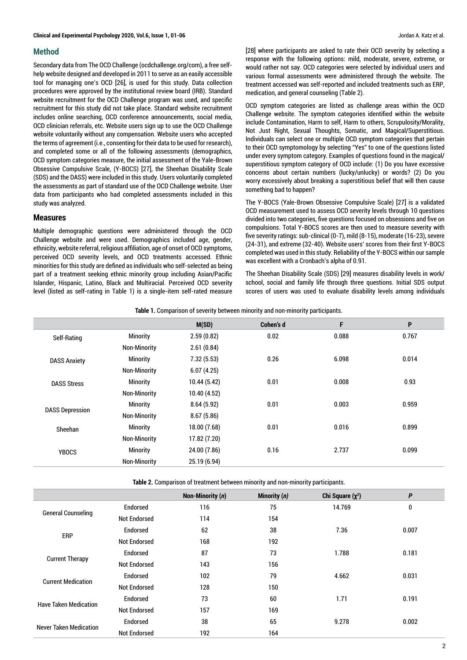## **Method**

Secondary data from The OCD Challenge (ocdchallenge.org/com), a free selfhelp website designed and developed in 2011 to serve as an easily accessible tool for managing one's OCD [26], is used for this study. Data collection procedures were approved by the institutional review board (IRB). Standard website recruitment for the OCD Challenge program was used, and specific recruitment for this study did not take place. Standard website recruitment includes online searching, OCD conference announcements, social media, OCD clinician referrals, etc. Website users sign up to use the OCD Challenge website voluntarily without any compensation. Website users who accepted the terms of agreement (i.e., consenting for their data to be used for research), and completed some or all of the following assessments (demographics, OCD symptom categories measure, the initial assessment of the Yale-Brown Obsessive Compulsive Scale, (Y-BOCS) [27], the Sheehan Disability Scale (SDS) and the DASS) were included in this study. Users voluntarily completed the assessments as part of standard use of the OCD Challenge website. User data from participants who had completed assessments included in this study was analyzed.

## **Measures**

Multiple demographic questions were administered through the OCD Challenge website and were used. Demographics included age, gender, ethnicity, website referral, religious affiliation, age of onset of OCD symptoms, perceived OCD severity levels, and OCD treatments accessed. Ethnic minorities for this study are defined as individuals who self-selected as being part of a treatment seeking ethnic minority group including Asian/Pacific Islander, Hispanic, Latino, Black and Multiracial. Perceived OCD severity level (listed as self-rating in Table 1) is a single-item self-rated measure [28] where participants are asked to rate their OCD severity by selecting a response with the following options: mild, moderate, severe, extreme, or would rather not say. OCD categories were selected by individual users and various formal assessments were administered through the website. The treatment accessed was self-reported and included treatments such as ERP, medication, and general counseling (Table 2).

OCD symptom categories are listed as challenge areas within the OCD Challenge website. The symptom categories identified within the website include Contamination, Harm to self, Harm to others, Scrupulosity/Morality, Not Just Right, Sexual Thoughts, Somatic, and Magical/Superstitious. Individuals can select one or multiple OCD symptom categories that pertain to their OCD symptomology by selecting "Yes" to one of the questions listed under every symptom category. Examples of questions found in the magical/ superstitious symptom category of OCD include: (1) Do you have excessive concerns about certain numbers (lucky/unlucky) or words? (2) Do you worry excessively about breaking a superstitious belief that will then cause something bad to happen?

The Y-BOCS (Yale-Brown Obsessive Compulsive Scale) [27] is a validated OCD measurement used to assess OCD severity levels through 10 questions divided into two categories, five questions focused on obsessions and five on compulsions. Total Y-BOCS scores are then used to measure severity with five severity ratings: sub-clinical (0-7), mild (8-15), moderate (16-23), severe (24-31), and extreme (32-40). Website users' scores from their first Y-BOCS completed was used in this study. Reliability of the Y-BOCS within our sample was excellent with a Cronbach's alpha of 0.91.

The Sheehan Disability Scale (SDS) [29] measures disability levels in work/ school, social and family life through three questions. Initial SDS output scores of users was used to evaluate disability levels among individuals

|  |  |  | <b>Table 1.</b> Comparison of severity between minority and non-minority participants. |
|--|--|--|----------------------------------------------------------------------------------------|
|  |  |  |                                                                                        |

|                        |                     | M(SD)        | <b>Cohen's d</b> | F     | P     |
|------------------------|---------------------|--------------|------------------|-------|-------|
| Self-Rating            | Minority            | 2.59(0.82)   | 0.02             | 0.088 | 0.767 |
|                        | <b>Non-Minority</b> | 2.61(0.84)   |                  |       |       |
| <b>DASS Anxiety</b>    | <b>Minority</b>     | 7.32(5.53)   | 0.26             | 6.098 | 0.014 |
|                        | <b>Non-Minority</b> | 6.07(4.25)   |                  |       |       |
| <b>DASS Stress</b>     | <b>Minority</b>     | 10.44(5.42)  | 0.01             | 0.008 | 0.93  |
|                        | <b>Non-Minority</b> | 10.40(4.52)  |                  |       |       |
|                        | Minority            | 8.64(5.92)   | 0.01             | 0.003 | 0.959 |
| <b>DASS Depression</b> | <b>Non-Minority</b> | 8.67(5.86)   |                  |       |       |
| Sheehan                | <b>Minority</b>     | 18.00 (7.68) | 0.01             | 0.016 | 0.899 |
|                        | <b>Non-Minority</b> | 17.82 (7.20) |                  |       |       |
| <b>YBOCS</b>           | <b>Minority</b>     | 24.00 (7.86) | 0.16             | 2.737 | 0.099 |
|                        | <b>Non-Minority</b> | 25.19 (6.94) |                  |       |       |
|                        |                     |              |                  |       |       |

**Table 2.** Comparison of treatment between minority and non-minority participants.

|                               |                     | Non-Minority (n) | Minority (n) | Chi Square $(\chi^2)$ | $\boldsymbol{P}$ |
|-------------------------------|---------------------|------------------|--------------|-----------------------|------------------|
|                               | Endorsed            | 116              | 75           | 14.769                | $\bf{0}$         |
| <b>General Counseling</b>     | <b>Not Endorsed</b> | 114              | 154          |                       |                  |
|                               | Endorsed            | 62               | 38           | 7.36                  | 0.007            |
| <b>ERP</b>                    | <b>Not Endorsed</b> | 168              | 192          |                       |                  |
|                               | Endorsed            | 87               | 73           | 1.788                 | 0.181            |
| <b>Current Therapy</b>        | <b>Not Endorsed</b> | 143              | 156          |                       |                  |
| <b>Current Medication</b>     | Endorsed            | 102              | 79           | 4.662                 | 0.031            |
|                               | <b>Not Endorsed</b> | 128              | 150          |                       |                  |
| <b>Have Taken Medication</b>  | Endorsed            | 73               | 60           | 1.71                  | 0.191            |
|                               | <b>Not Endorsed</b> | 157              | 169          |                       |                  |
|                               | <b>Endorsed</b>     | 38               | 65           | 9.278                 | 0.002            |
| <b>Never Taken Medication</b> | <b>Not Endorsed</b> | 192              | 164          |                       |                  |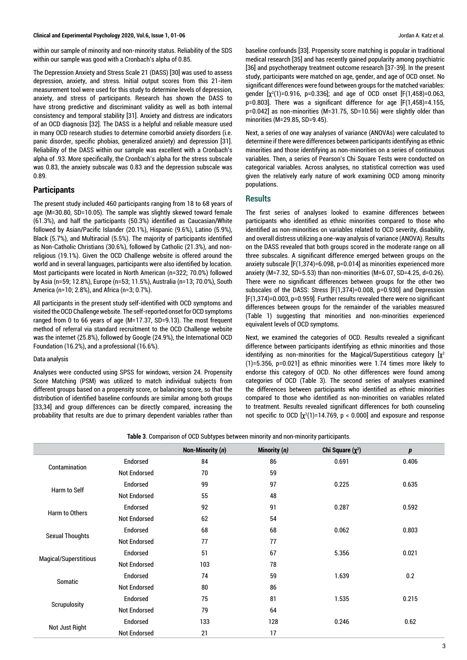within our sample of minority and non-minority status. Reliability of the SDS within our sample was good with a Cronbach's alpha of 0.85.

The Depression Anxiety and Stress Scale 21 (DASS) [30] was used to assess depression, anxiety, and stress. Initial output scores from this 21-item measurement tool were used for this study to determine levels of depression, anxiety, and stress of participants. Research has shown the DASS to have strong predictive and discriminant validity as well as both internal consistency and temporal stability [31]. Anxiety and distress are indicators of an OCD diagnosis [32]. The DASS is a helpful and reliable measure used in many OCD research studies to determine comorbid anxiety disorders (i.e. panic disorder, specific phobias, generalized anxiety) and depression [31]. Reliability of the DASS within our sample was excellent with a Cronbach's alpha of .93. More specifically, the Cronbach's alpha for the stress subscale was 0.83, the anxiety subscale was 0.83 and the depression subscale was 0.89.

# **Participants**

The present study included 460 participants ranging from 18 to 68 years of age (M=30.80, SD=10.05). The sample was slightly skewed toward female (61.3%), and half the participants (50.3%) identified as Caucasian/White followed by Asian/Pacific Islander (20.1%), Hispanic (9.6%), Latino (5.9%), Black (5.7%), and Multiracial (5.5%). The majority of participants identified as Non-Catholic Christians (30.6%), followed by Catholic (21.3%), and nonreligious (19.1%). Given the OCD Challenge website is offered around the world and in several languages, participants were also identified by location. Most participants were located in North American (n=322; 70.0%) followed by Asia (n=59; 12.8%), Europe (n=53; 11.5%), Australia (n=13; 70.0%), South America (n=10; 2.8%), and Africa (n=3; 0.7%).

All participants in the present study self-identified with OCD symptoms and visited the OCD Challenge website. The self-reported onset for OCD symptoms ranged from 0 to 66 years of age (M=17.37, SD=9.13). The most frequent method of referral via standard recruitment to the OCD Challenge website was the internet (25.8%), followed by Google (24.9%), the International OCD Foundation (16.2%), and a professional (16.6%).

#### Data analysis

Analyses were conducted using SPSS for windows, version 24. Propensity Score Matching (PSM) was utilized to match individual subjects from different groups based on a propensity score, or balancing score, so that the distribution of identified baseline confounds are similar among both groups [33,34] and group differences can be directly compared, increasing the probability that results are due to primary dependent variables rather than baseline confounds [33]. Propensity score matching is popular in traditional medical research [35] and has recently gained popularity among psychiatric [36] and psychotherapy treatment outcome research [37-39]. In the present study, participants were matched on age, gender, and age of OCD onset. No significant differences were found between groups for the matched variables: gender  $[x^2(1)=0.916, p=0.336]$ ; and age of OCD onset  $[F(1,458)=0.063,$ p=0.803]. There was a significant difference for age [F(1,458)=4.155, p=0.042] as non-minorities (M=31.75, SD=10.56) were slightly older than minorities (M=29.85, SD=9.45).

Next, a series of one way analyses of variance (ANOVAs) were calculated to determine if there were differences between participants identifying as ethnic minorities and those identifying as non-minorities on a series of continuous variables. Then, a series of Pearson's Chi Square Tests were conducted on categorical variables. Across analyses, no statistical correction was used given the relatively early nature of work examining OCD among minority populations.

## **Results**

The first series of analyses looked to examine differences between participants who identified as ethnic minorities compared to those who identified as non-minorities on variables related to OCD severity, disability, and overall distress utilizing a one-way analysis of variance (ANOVA). Results on the DASS revealed that both groups scored in the moderate range on all three subscales. A significant difference emerged between groups on the anxiety subscale [F(1,374)=6.098, p=0.014] as minorities experienced more anxiety (M=7.32, SD=5.53) than non-minorities (M=6.07, SD=4.25, d=0.26). There were no significant differences between groups for the other two subscales of the DASS: Stress [F(1,374)=0.008, p=0.930] and Depression [F(1,374)=0.003, p=0.959]. Further results revealed there were no significant differences between groups for the remainder of the variables measured (Table 1) suggesting that minorities and non-minorities experienced equivalent levels of OCD symptoms.

Next, we examined the categories of OCD. Results revealed a significant difference between participants identifying as ethnic minorities and those identifying as non-minorities for the Magical/Superstitious category  $[\chi^2]$ (1)=5.356, p=0.021] as ethnic minorities were 1.74 times more likely to endorse this category of OCD. No other differences were found among categories of OCD (Table 3). The second series of analyses examined the differences between participants who identified as ethnic minorities compared to those who identified as non-minorities on variables related to treatment. Results revealed significant differences for both counseling not specific to OCD  $[\chi^2(1)$ =14.769, p < 0.000] and exposure and response

| Table 3. Comparison of OCD Subtypes between minority and non-minority participants. |  |  |
|-------------------------------------------------------------------------------------|--|--|
|-------------------------------------------------------------------------------------|--|--|

|                        |                     | Non-Minority (n) | Minority (n) | Chi Square $(\chi^2)$ | $\boldsymbol{p}$ |
|------------------------|---------------------|------------------|--------------|-----------------------|------------------|
|                        | Endorsed            | 84               | 86           | 0.691                 | 0.406            |
| Contamination          | <b>Not Endorsed</b> | 70               | 59           |                       |                  |
|                        | Endorsed            | 99               | 97           | 0.225                 | 0.635            |
| Harm to Self           | <b>Not Endorsed</b> | 55               | 48           |                       |                  |
|                        | Endorsed            | 92               | 91           | 0.287                 | 0.592            |
| <b>Harm to Others</b>  | <b>Not Endorsed</b> | 62               | 54           |                       |                  |
|                        | Endorsed            | 68               | 68           | 0.062                 | 0.803            |
| <b>Sexual Thoughts</b> | <b>Not Endorsed</b> | 77               | 77           |                       |                  |
|                        | Endorsed            | 51               | 67           | 5.356                 | 0.021            |
| Magical/Superstitious  | <b>Not Endorsed</b> | 103              | 78           |                       |                  |
|                        | Endorsed            | 74               | 59           | 1.639                 | 0.2              |
| Somatic                | <b>Not Endorsed</b> | 80               | 86           |                       |                  |
|                        | Endorsed            | 75               | 81           | 1.535                 | 0.215            |
| Scrupulosity           | <b>Not Endorsed</b> | 79               | 64           |                       |                  |
|                        | Endorsed            | 133              | 128          | 0.246                 | 0.62             |
| Not Just Right         | <b>Not Endorsed</b> | 21               | 17           |                       |                  |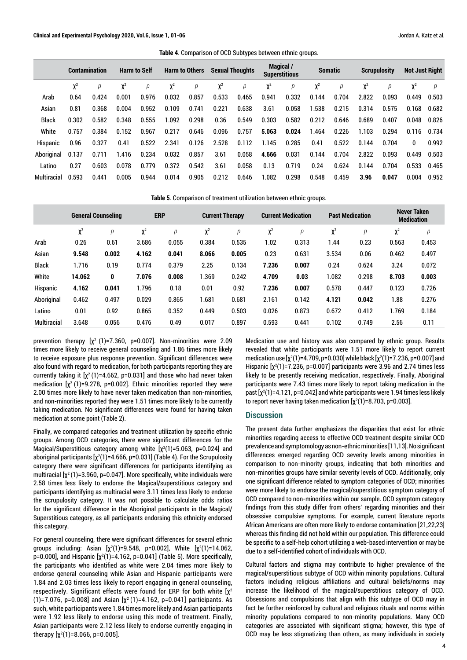**Table 4**. Comparison of OCD Subtypes between ethnic groups.

|              | <b>Contamination</b> |       | <b>Harm to Self</b> |       | <b>Harm to Others</b> |       | <b>Sexual Thoughts</b> |       | <b>Magical</b> /<br><b>Superstitious</b> |       | <b>Somatic</b> |       | <b>Scrupulosity</b> |       | <b>Not Just Right</b> |       |
|--------------|----------------------|-------|---------------------|-------|-----------------------|-------|------------------------|-------|------------------------------------------|-------|----------------|-------|---------------------|-------|-----------------------|-------|
|              | $\chi^2$             |       | $\chi^2$            | р     | $\chi^2$              | р     | $\chi^2$               | р     | χ <sup>z</sup>                           | р     | $\chi^2$       | р     | χ <sup>z</sup>      |       |                       | D     |
| Arab         | 0.64                 | 0.424 | 0.001               | 0.976 | 0.032                 | 0.857 | 0.533                  | 0.465 | 0.941                                    | 0.332 | 0.144          | 0.704 | 2.822               | 0.093 | 0.449                 | 0.503 |
| Asian        | 0.81                 | 0.368 | 0.004               | 0.952 | 0.109                 | 0.741 | 0.221                  | 0.638 | 3.61                                     | 0.058 | 1.538          | 0.215 | 0.314               | 0.575 | 0.168                 | 0.682 |
| <b>Black</b> | 0.302                | 0.582 | 0.348               | 0.555 | 1.092                 | 0.298 | 0.36                   | 0.549 | 0.303                                    | 0.582 | 0.212          | 0.646 | 0.689               | 0.407 | 0.048                 | 0.826 |
| White        | 0.757                | 0.384 | 0.152               | 0.967 | 0.217                 | 0.646 | 0.096                  | 0.757 | 5.063                                    | 0.024 | 1.464          | 0.226 | 1.103               | 0.294 | 0.116                 | 0.734 |
| Hispanic     | 0.96                 | 0.327 | 0.41                | 0.522 | 2.341                 | 0.126 | 2.528                  | 0.112 | 1.145                                    | 0.285 | 0.41           | 0.522 | 0.144               | 0.704 | 0                     | 0.992 |
| Aboriginal   | 0.137                | 0.711 | 1.416               | 0.234 | 0.032                 | 0.857 | 3.61                   | 0.058 | 4.666                                    | 0.031 | 0.144          | 0.704 | 2.822               | 0.093 | 0.449                 | 0.503 |
| Latino       | 0.27                 | 0.603 | 0.078               | 0.779 | 0.372                 | 0.542 | 3.61                   | 0.058 | 0.13                                     | 0.719 | 0.24           | 0.624 | 0.144               | 0.704 | 0.533                 | 0.465 |
| Multiracial  | 0.593                | 0.441 | 0.005               | 0.944 | 0.014                 | 0.905 | 0.212                  | 0.646 | 1.082                                    | 0.298 | 0.548          | 0.459 | 3.96                | 0.047 | 0.004                 | 0.952 |

**Table 5**. Comparison of treatment utilization between ethnic groups.

|              | <b>General Counseling</b> |       | <b>ERP</b> |       | <b>Current Therapy</b> |       | <b>Current Medication</b> |       | <b>Past Medication</b> |       | <b>Never Taken</b><br><b>Medication</b> |       |
|--------------|---------------------------|-------|------------|-------|------------------------|-------|---------------------------|-------|------------------------|-------|-----------------------------------------|-------|
|              | $\chi^2$                  | р     | $\chi^2$   | р     | $\chi^2$               | р     | $\chi^2$                  | р     | $\chi^2$               | p     | $\chi^2$                                | р     |
| Arab         | 0.26                      | 0.61  | 3.686      | 0.055 | 0.384                  | 0.535 | 1.02                      | 0.313 | 1.44                   | 0.23  | 0.563                                   | 0.453 |
| Asian        | 9.548                     | 0.002 | 4.162      | 0.041 | 8.066                  | 0.005 | 0.23                      | 0.631 | 3.534                  | 0.06  | 0.462                                   | 0.497 |
| <b>Black</b> | 1.716                     | 0.19  | 0.774      | 0.379 | 2.25                   | 0.134 | 7.236                     | 0.007 | 0.24                   | 0.624 | 3.24                                    | 0.072 |
| White        | 14.062                    | 0     | 7.076      | 0.008 | 1.369                  | 0.242 | 4.709                     | 0.03  | 1.082                  | 0.298 | 8.703                                   | 0.003 |
| Hispanic     | 4.162                     | 0.041 | 1.796      | 0.18  | 0.01                   | 0.92  | 7.236                     | 0.007 | 0.578                  | 0.447 | 0.123                                   | 0.726 |
| Aboriginal   | 0.462                     | 0.497 | 0.029      | 0.865 | 1.681                  | 0.681 | 2.161                     | 0.142 | 4.121                  | 0.042 | 1.88                                    | 0.276 |
| Latino       | 0.01                      | 0.92  | 0.865      | 0.352 | 0.449                  | 0.503 | 0.026                     | 0.873 | 0.672                  | 0.412 | 1.769                                   | 0.184 |
| Multiracial  | 3.648                     | 0.056 | 0.476      | 0.49  | 0.017                  | 0.897 | 0.593                     | 0.441 | 0.102                  | 0.749 | 2.56                                    | 0.11  |

prevention therapy  $[x^2 (1)=7.360, p=0.007]$ . Non-minorities were 2.09 times more likely to receive general counseling and 1.86 times more likely to receive exposure plus response prevention. Significant differences were also found with regard to medication, for both participants reporting they are currently taking it  $[x^2(1)=4.662, p=0.031]$  and those who had never taken medication  $[\chi^2 (1) = 9.278, p = 0.002]$ . Ethnic minorities reported they were 2.00 times more likely to have never taken medication than non-minorities, and non-minorities reported they were 1.51 times more likely to be currently taking medication. No significant differences were found for having taken medication at some point (Table 2).

Finally, we compared categories and treatment utilization by specific ethnic groups. Among OCD categories, there were significant differences for the Magical/Superstitious category among white  $[\chi^2(1)$ =5.063, p=0.024] and aboriginal participants [ $\chi^2(1)$ =4.666, p=0.031] (Table 4). For the Scrupulosity category there were significant differences for participants identifying as multiracial  $[\chi^2(1)=3.960$ , p=0.047]. More specifically, white individuals were 2.58 times less likely to endorse the Magical/superstitious category and participants identifying as multiracial were 3.11 times less likely to endorse the scrupulosity category. It was not possible to calculate odds ratios for the significant difference in the Aboriginal participants in the Magical/ Superstitious category, as all participants endorsing this ethnicity endorsed this category.

For general counseling, there were significant differences for several ethnic groups including: Asian [χ²(1)=9.548, p=0.002], White [χ²(1)=14.062, p=0.000], and Hispanic [χ $^{2}(1)$ =4.162, p=0.041] (Table 5). More specifically, the participants who identified as white were 2.04 times more likely to endorse general counseling while Asian and Hispanic participants were 1.84 and 2.03 times less likely to report engaging in general counseling, respectively. Significant effects were found for ERP for both white  $[\chi^2]$ (1)=7.076, p=0.008] and Asian  $[\chi^2(1)$ =4.162, p=0.041] participants. As such, white participants were 1.84 times more likely and Asian participants were 1.92 less likely to endorse using this mode of treatment. Finally, Asian participants were 2.12 less likely to endorse currently engaging in therapy [χ<sup>2</sup>(1)=8.066, p=0.005].

Medication use and history was also compared by ethnic group. Results revealed that white participants were 1.51 more likely to report current medication use [χ<sup>2</sup>(1)=4.709, p=0.030] while black [χ<sup>2</sup>(1)=7.236, p=0.007] and Hispanic  $[\chi^2(1)$ =7.236, p=0.007] participants were 3.96 and 2.74 times less likely to be presently receiving medication, respectively. Finally, Aboriginal participants were 7.43 times more likely to report taking medication in the past [χ<sup>2</sup>(1)=4.121, p=0.042] and white participants were 1.94 times less likely to report never having taken medication [χ²(1)=8.703, p=0.003].

#### **Discussion**

The present data further emphasizes the disparities that exist for ethnic minorities regarding access to effective OCD treatment despite similar OCD prevalence and symptomology as non-ethnic minorities [11,13]. No significant differences emerged regarding OCD severity levels among minorities in comparison to non-minority groups, indicating that both minorities and non-minorities groups have similar severity levels of OCD. Additionally, only one significant difference related to symptom categories of OCD; minorities were more likely to endorse the magical/superstitious symptom category of OCD compared to non-minorities within our sample. OCD symptom category findings from this study differ from others' regarding minorities and their obsessive compulsive symptoms. For example, current literature reports African Americans are often more likely to endorse contamination [21,22,23] whereas this finding did not hold within our population. This difference could be specific to a self-help cohort utilizing a web-based intervention or may be due to a self-identified cohort of individuals with OCD.

Cultural factors and stigma may contribute to higher prevalence of the magical/superstitious subtype of OCD within minority populations. Cultural factors including religious affiliations and cultural beliefs/norms may increase the likelihood of the magical/superstitious category of OCD. Obsessions and compulsions that align with this subtype of OCD may in fact be further reinforced by cultural and religious rituals and norms within minority populations compared to non-minority populations. Many OCD categories are associated with significant stigma; however, this type of OCD may be less stigmatizing than others, as many individuals in society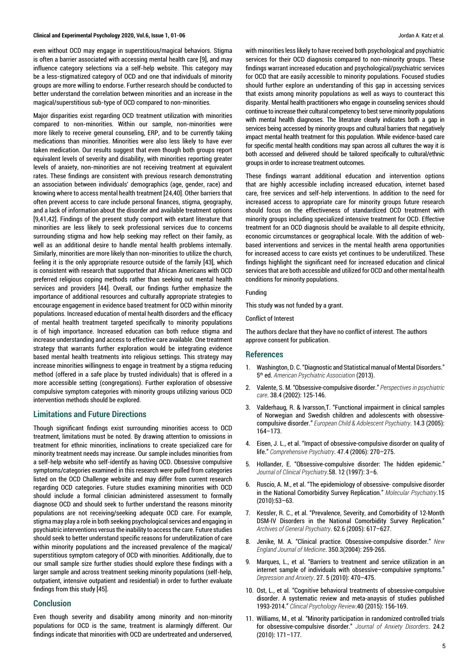#### **Clinical and Experimental Psychology 2020, Vol.6, Issue 1, 01-06** Jordan A. Katz et al.

even without OCD may engage in superstitious/magical behaviors. Stigma is often a barrier associated with accessing mental health care [9], and may influence category selections via a self-help website. This category may be a less-stigmatized category of OCD and one that individuals of minority groups are more willing to endorse. Further research should be conducted to better understand the correlation between minorities and an increase in the magical/superstitious sub-type of OCD compared to non-minorities.

Major disparities exist regarding OCD treatment utilization with minorities compared to non-minorities. Within our sample, non-minorities were more likely to receive general counseling, ERP, and to be currently taking medications than minorities. Minorities were also less likely to have ever taken medication. Our results suggest that even though both groups report equivalent levels of severity and disability, with minorities reporting greater levels of anxiety, non-minorities are not receiving treatment at equivalent rates. These findings are consistent with previous research demonstrating an association between individuals' demographics (age, gender, race) and knowing where to access mental health treatment [24,40]. Other barriers that often prevent access to care include personal finances, stigma, geography, and a lack of information about the disorder and available treatment options [9,41,42]. Findings of the present study comport with extant literature that minorities are less likely to seek professional services due to concerns surrounding stigma and how help seeking may reflect on their family, as well as an additional desire to handle mental health problems internally. Similarly, minorities are more likely than non-minorities to utilize the church, feeling it is the only appropriate resource outside of the family [43], which is consistent with research that supported that African Americans with OCD preferred religious coping methods rather than seeking out mental health services and providers [44]. Overall, our findings further emphasize the importance of additional resources and culturally appropriate strategies to encourage engagement in evidence based treatment for OCD within minority populations. Increased education of mental health disorders and the efficacy of mental health treatment targeted specifically to minority populations is of high importance. Increased education can both reduce stigma and increase understanding and access to effective care available. One treatment strategy that warrants further exploration would be integrating evidence based mental health treatments into religious settings. This strategy may increase minorities willingness to engage in treatment by a stigma reducing method (offered in a safe place by trusted individuals) that is offered in a more accessible setting (congregations). Further exploration of obsessive compulsive symptom categories with minority groups utilizing various OCD intervention methods should be explored.

## **Limitations and Future Directions**

Though significant findings exist surrounding minorities access to OCD treatment, limitations must be noted. By drawing attention to omissions in treatment for ethnic minorities, inclinations to create specialized care for minority treatment needs may increase. Our sample includes minorities from a self-help website who self-identify as having OCD. Obsessive compulsive symptoms/categories examined in this research were pulled from categories listed on the OCD Challenge website and may differ from current research regarding OCD categories. Future studies examining minorities with OCD should include a formal clinician administered assessment to formally diagnose OCD and should seek to further understand the reasons minority populations are not receiving/seeking adequate OCD care. For example, stigma may play a role in both seeking psychological services and engaging in psychiatric interventions versus the inability to access the care. Future studies should seek to better understand specific reasons for underutilization of care within minority populations and the increased prevalence of the magical/ superstitious symptom category of OCD with minorities. Additionally, due to our small sample size further studies should explore these findings with a larger sample and across treatment seeking minority populations (self-help, outpatient, intensive outpatient and residential) in order to further evaluate findings from this study [45].

# **Conclusion**

Even though severity and disability among minority and non-minority populations for OCD is the same, treatment is alarmingly different. Our findings indicate that minorities with OCD are undertreated and underserved, with minorities less likely to have received both psychological and psychiatric services for their OCD diagnosis compared to non-minority groups. These findings warrant increased education and psychological/psychiatric services for OCD that are easily accessible to minority populations. Focused studies should further explore an understanding of this gap in accessing services that exists among minority populations as well as ways to counteract this disparity. Mental health practitioners who engage in counseling services should continue to increase their cultural competency to best serve minority populations with mental health diagnoses. The literature clearly indicates both a gap in services being accessed by minority groups and cultural barriers that negatively impact mental health treatment for this population. While evidence-based care for specific mental health conditions may span across all cultures the way it is both accessed and delivered should be tailored specifically to cultural/ethnic groups in order to increase treatment outcomes.

These findings warrant additional education and intervention options that are highly accessible including increased education, internet based care, free services and self-help interventions. In addition to the need for increased access to appropriate care for minority groups future research should focus on the effectiveness of standardized OCD treatment with minority groups including specialized intensive treatment for OCD. Effective treatment for an OCD diagnosis should be available to all despite ethnicity, economic circumstances or geographical locale. With the addition of webbased interventions and services in the mental health arena opportunities for increased access to care exists yet continues to be underutilized. These findings highlight the significant need for increased education and clinical services that are both accessible and utilized for OCD and other mental health conditions for minority populations.

#### Funding

This study was not funded by a grant.

Conflict of Interest

The authors declare that they have no conflict of interest. The authors approve consent for publication.

#### **References**

- 1. Washington, D. C. "Diagnostic and Statistical manual of Mental Disorders." 5th ed. *American Psychiatric Association* (2013).
- 2. Valente, S. M. "Obsessive-compulsive disorder." *Perspectives in psychiatric care*. 38.4 (2002): 125-146.
- 3. Valderhaug, R. & Ivarsson,T. "Functional impairment in clinical samples of Norwegian and Swedish children and adolescents with obsessivecompulsive disorder." *European Child & Adolescent Psychiatry*. 14.3 (2005): 164–173.
- 4. Eisen, J. L., et al. "Impact of obsessive-compulsive disorder on quality of life." *Comprehensive Psychiatry*. 47.4 (2006): 270–275.
- 5. Hollander, E. "Obsessive-compulsive disorder: The hidden epidemic." *Journal of Clinical Psychiatry*.58. 12 (1997): 3–6.
- 6. Ruscio, A. M., et al. "The epidemiology of obsessive- compulsive disorder in the National Comorbidity Survey Replication." *Molecular Psychiatry*.15 (2010):53–63.
- 7. Kessler, R. C., et al. "Prevalence, Severity, and Comorbidity of 12-Month DSM-IV Disorders in the National Comorbidity Survey Replication." *Archives of General Psychiatry*. 62.6 (2005): 617–627.
- 8. Jenike, M. A. "Clinical practice. Obsessive-compulsive disorder." *New England Journal of Medicine*. 350.3(2004): 259-265.
- 9. Marques, L., et al. "Barriers to treatment and service utilization in an internet sample of individuals with obsessive–compulsive symptoms." *Depression and Anxiety*. 27. 5 (2010): 470–475.
- 10. Ost, L., et al. "Cognitive behavioral treatments of obsessive-compulsive disorder. A systematic review and meta-anaysis of studies published 1993-2014." *Clinical Psychology Review*.40 (2015): 156-169.
- 11. Williams, M., et al. "Minority participation in randomized controlled trials for obsessive-compulsive disorder." *Journal of Anxiety Disorders*. 24.2 (2010): 171–177.